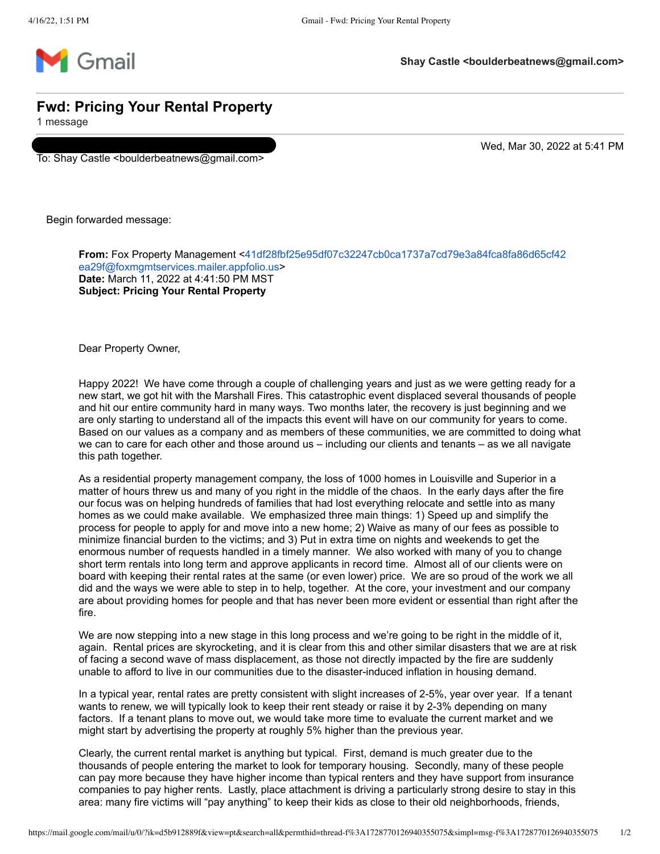

## **Fwd: Pricing Your Rental Property**

1 message

To: Shay Castle <boulderbeatnews@gmail.com>

Wed, Mar 30, 2022 at 5:41 PM

Begin forwarded message:

**From:** [Fox Property Management <41df28fbf25e95df07c32247cb0ca1737a7cd79e3a84fca8fa86d65cf42](mailto:41df28fbf25e95df07c32247cb0ca1737a7cd79e3a84fca8fa86d65cf42ea29f@foxmgmtservices.mailer.appfolio.us) ea29f@foxmgmtservices.mailer.appfolio.us> **Date:** March 11, 2022 at 4:41:50 PM MST **Subject: Pricing Your Rental Property**

Dear Property Owner,

Happy 2022! We have come through a couple of challenging years and just as we were getting ready for a new start, we got hit with the Marshall Fires. This catastrophic event displaced several thousands of people and hit our entire community hard in many ways. Two months later, the recovery is just beginning and we are only starting to understand all of the impacts this event will have on our community for years to come. Based on our values as a company and as members of these communities, we are committed to doing what we can to care for each other and those around us – including our clients and tenants – as we all navigate this path together.

As a residential property management company, the loss of 1000 homes in Louisville and Superior in a matter of hours threw us and many of you right in the middle of the chaos. In the early days after the fire our focus was on helping hundreds of families that had lost everything relocate and settle into as many homes as we could make available. We emphasized three main things: 1) Speed up and simplify the process for people to apply for and move into a new home; 2) Waive as many of our fees as possible to minimize financial burden to the victims; and 3) Put in extra time on nights and weekends to get the enormous number of requests handled in a timely manner. We also worked with many of you to change short term rentals into long term and approve applicants in record time. Almost all of our clients were on board with keeping their rental rates at the same (or even lower) price. We are so proud of the work we all did and the ways we were able to step in to help, together. At the core, your investment and our company are about providing homes for people and that has never been more evident or essential than right after the fire.

We are now stepping into a new stage in this long process and we're going to be right in the middle of it, again. Rental prices are skyrocketing, and it is clear from this and other similar disasters that we are at risk of facing a second wave of mass displacement, as those not directly impacted by the fire are suddenly unable to afford to live in our communities due to the disaster-induced inflation in housing demand.

In a typical year, rental rates are pretty consistent with slight increases of 2-5%, year over year. If a tenant wants to renew, we will typically look to keep their rent steady or raise it by 2-3% depending on many factors. If a tenant plans to move out, we would take more time to evaluate the current market and we might start by advertising the property at roughly 5% higher than the previous year.

Clearly, the current rental market is anything but typical. First, demand is much greater due to the thousands of people entering the market to look for temporary housing. Secondly, many of these people can pay more because they have higher income than typical renters and they have support from insurance companies to pay higher rents. Lastly, place attachment is driving a particularly strong desire to stay in this area: many fire victims will "pay anything" to keep their kids as close to their old neighborhoods, friends,